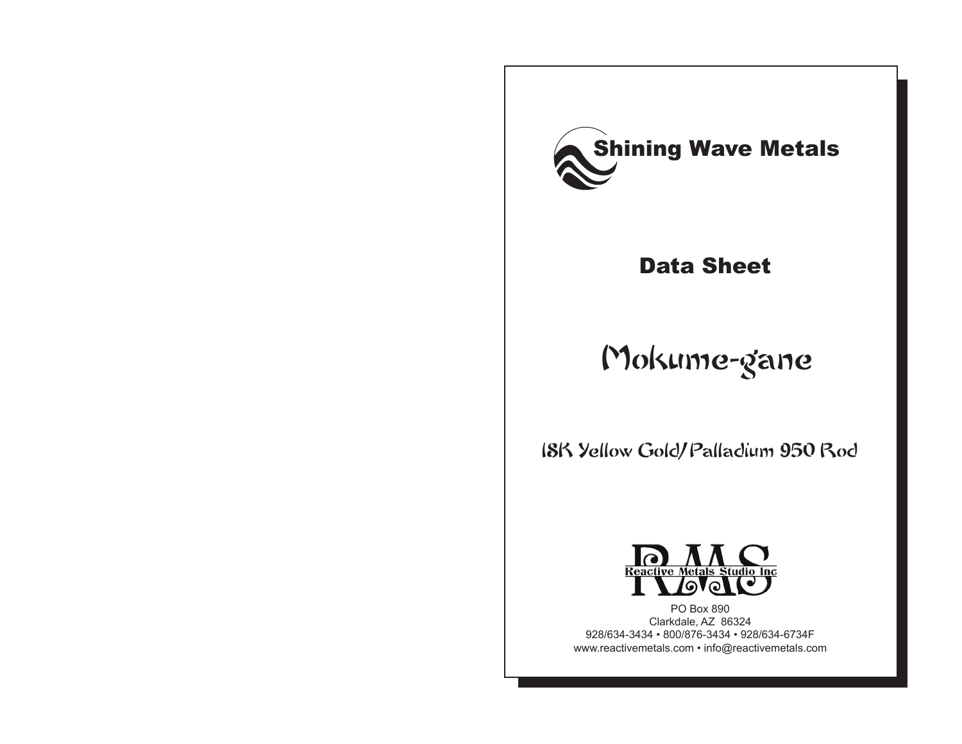

## Data Sheet

# Mokume-gane

18K Yellow Gold/ Palladium 950 Rod



PO Box 890 Clarkdale, AZ 86324 928/634-3434 • 800/876-3434 • 928/634-6734F www.reactivemetals.com • info@reactivemetals.com